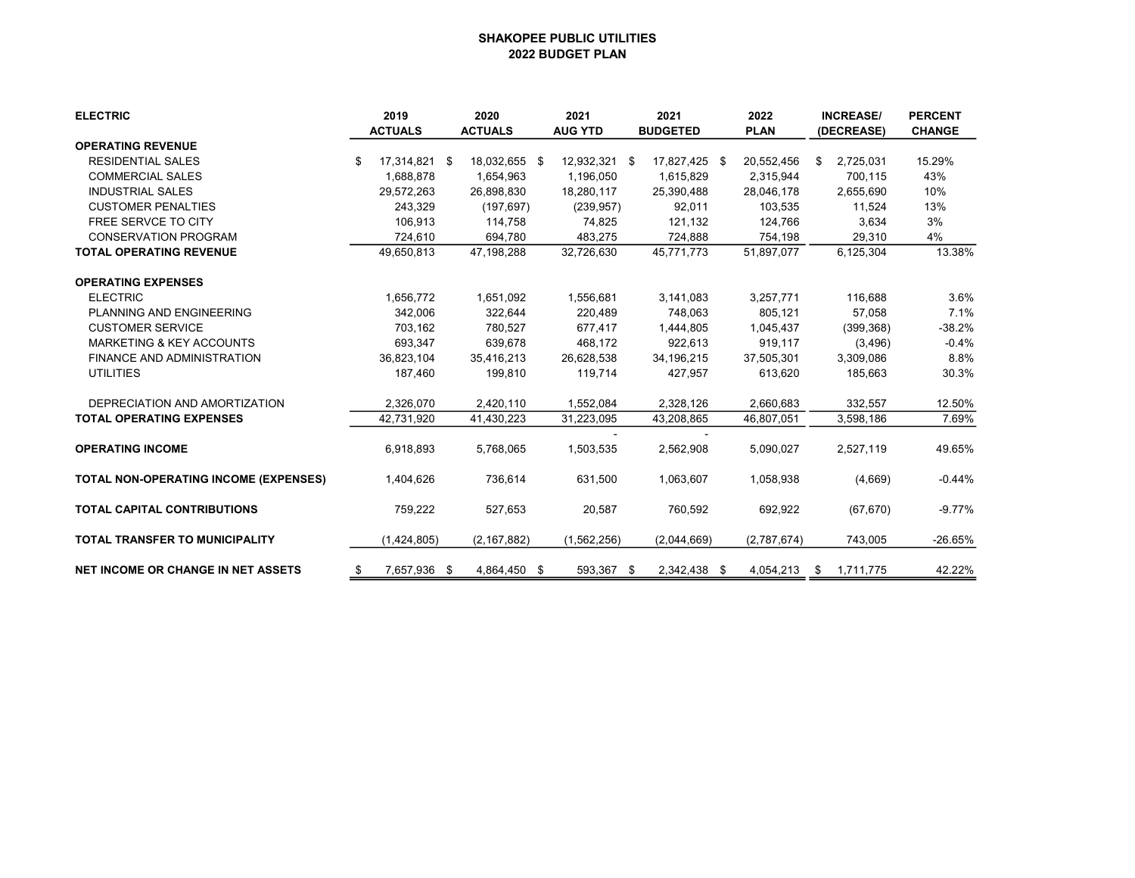## SHAKOPEE PUBLIC UTILITIES 2022 BUDGET PLAN

| <b>ELECTRIC</b>                              | 2019             |     | 2020           |  | 2021           |  | 2021            |  | 2022        | <b>INCREASE/</b> |            | <b>PERCENT</b> |
|----------------------------------------------|------------------|-----|----------------|--|----------------|--|-----------------|--|-------------|------------------|------------|----------------|
|                                              | <b>ACTUALS</b>   |     | <b>ACTUALS</b> |  | <b>AUG YTD</b> |  | <b>BUDGETED</b> |  | <b>PLAN</b> |                  | (DECREASE) | <b>CHANGE</b>  |
| <b>OPERATING REVENUE</b>                     |                  |     |                |  |                |  |                 |  |             |                  |            |                |
| <b>RESIDENTIAL SALES</b>                     | 17,314,821<br>\$ | \$  | 18,032,655 \$  |  | 12,932,321 \$  |  | 17,827,425 \$   |  | 20,552,456  | \$               | 2,725,031  | 15.29%         |
| <b>COMMERCIAL SALES</b>                      | 1,688,878        |     | 1,654,963      |  | 1,196,050      |  | 1,615,829       |  | 2,315,944   |                  | 700,115    | 43%            |
| <b>INDUSTRIAL SALES</b>                      | 29,572,263       |     | 26,898,830     |  | 18,280,117     |  | 25,390,488      |  | 28,046,178  |                  | 2,655,690  | 10%            |
| <b>CUSTOMER PENALTIES</b>                    | 243,329          |     | (197, 697)     |  | (239, 957)     |  | 92,011          |  | 103,535     |                  | 11,524     | 13%            |
| <b>FREE SERVCE TO CITY</b>                   | 106,913          |     | 114,758        |  | 74,825         |  | 121,132         |  | 124,766     |                  | 3,634      | 3%             |
| <b>CONSERVATION PROGRAM</b>                  | 724,610          |     | 694,780        |  | 483.275        |  | 724,888         |  | 754,198     |                  | 29,310     | 4%             |
| <b>TOTAL OPERATING REVENUE</b>               | 49,650,813       |     | 47.198.288     |  | 32,726,630     |  | 45,771,773      |  | 51.897.077  |                  | 6,125,304  | 13.38%         |
| <b>OPERATING EXPENSES</b>                    |                  |     |                |  |                |  |                 |  |             |                  |            |                |
| <b>ELECTRIC</b>                              | 1,656,772        |     | 1,651,092      |  | 1,556,681      |  | 3,141,083       |  | 3,257,771   |                  | 116,688    | 3.6%           |
| PLANNING AND ENGINEERING                     | 342.006          |     | 322,644        |  | 220.489        |  | 748,063         |  | 805.121     |                  | 57,058     | 7.1%           |
| <b>CUSTOMER SERVICE</b>                      | 703,162          |     | 780,527        |  | 677,417        |  | 1,444,805       |  | 1,045,437   |                  | (399, 368) | $-38.2%$       |
| <b>MARKETING &amp; KEY ACCOUNTS</b>          | 693,347          |     | 639,678        |  | 468,172        |  | 922,613         |  | 919.117     |                  | (3, 496)   | $-0.4%$        |
| FINANCE AND ADMINISTRATION                   | 36,823,104       |     | 35,416,213     |  | 26,628,538     |  | 34,196,215      |  | 37,505,301  |                  | 3,309,086  | 8.8%           |
| <b>UTILITIES</b>                             | 187,460          |     | 199,810        |  | 119,714        |  | 427,957         |  | 613,620     |                  | 185,663    | 30.3%          |
| DEPRECIATION AND AMORTIZATION                | 2,326,070        |     | 2,420,110      |  | 1,552,084      |  | 2,328,126       |  | 2,660,683   |                  | 332,557    | 12.50%         |
| <b>TOTAL OPERATING EXPENSES</b>              | 42,731,920       |     | 41,430,223     |  | 31,223,095     |  | 43,208,865      |  | 46,807,051  |                  | 3,598,186  | 7.69%          |
| <b>OPERATING INCOME</b>                      | 6,918,893        |     | 5,768,065      |  | 1,503,535      |  | 2,562,908       |  | 5,090,027   |                  | 2,527,119  | 49.65%         |
| <b>TOTAL NON-OPERATING INCOME (EXPENSES)</b> | 1,404,626        |     | 736,614        |  | 631,500        |  | 1,063,607       |  | 1,058,938   |                  | (4,669)    | $-0.44%$       |
| <b>TOTAL CAPITAL CONTRIBUTIONS</b>           | 759,222          |     | 527,653        |  | 20,587         |  | 760,592         |  | 692,922     |                  | (67, 670)  | $-9.77%$       |
| <b>TOTAL TRANSFER TO MUNICIPALITY</b>        | (1,424,805)      |     | (2, 167, 882)  |  | (1,562,256)    |  | (2,044,669)     |  | (2,787,674) |                  | 743,005    | $-26.65%$      |
| <b>NET INCOME OR CHANGE IN NET ASSETS</b>    | 7,657,936<br>\$  | -\$ | 4,864,450 \$   |  | 593,367 \$     |  | 2,342,438 \$    |  | 4,054,213   | - \$             | 1,711,775  | 42.22%         |